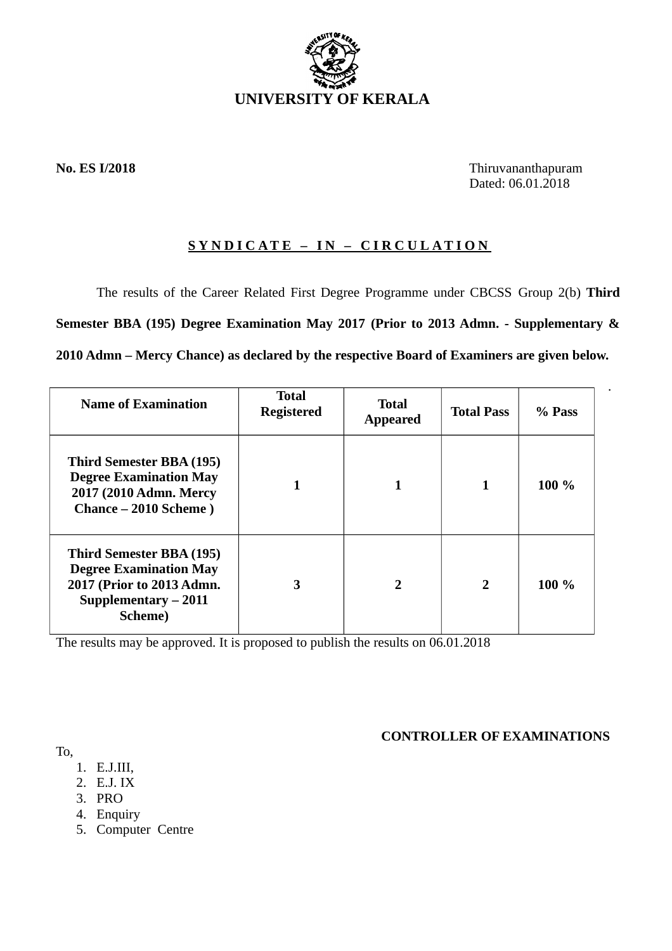

**No. ES I/2018** Thiruvananthapuram Dated: 06.01.2018

.

# **SYNDICATE – IN – CIRCULATION**

The results of the Career Related First Degree Programme under CBCSS Group 2(b) **Third Semester BBA (195) Degree Examination May 2017 (Prior to 2013 Admn. - Supplementary & 2010 Admn – Mercy Chance) as declared by the respective Board of Examiners are given below.**

| <b>Name of Examination</b>                                                                                                               | <b>Total</b><br><b>Registered</b> | <b>Total</b><br><b>Appeared</b> | <b>Total Pass</b> | % Pass |
|------------------------------------------------------------------------------------------------------------------------------------------|-----------------------------------|---------------------------------|-------------------|--------|
| <b>Third Semester BBA (195)</b><br><b>Degree Examination May</b><br>2017 (2010 Admn. Mercy<br>Chance – 2010 Scheme)                      |                                   | 1                               | 1                 | 100 %  |
| <b>Third Semester BBA (195)</b><br><b>Degree Examination May</b><br>2017 (Prior to 2013 Admn.<br>Supplementary - 2011<br><b>Scheme</b> ) | 3                                 | $\overline{2}$                  | $\overline{2}$    | 100 %  |

The results may be approved. It is proposed to publish the results on 06.01.2018

**CONTROLLER OF EXAMINATIONS**

To,

- 1. E.J.III,
- 2. E.J. IX
- 3. PRO
- 4. Enquiry
- 5. Computer Centre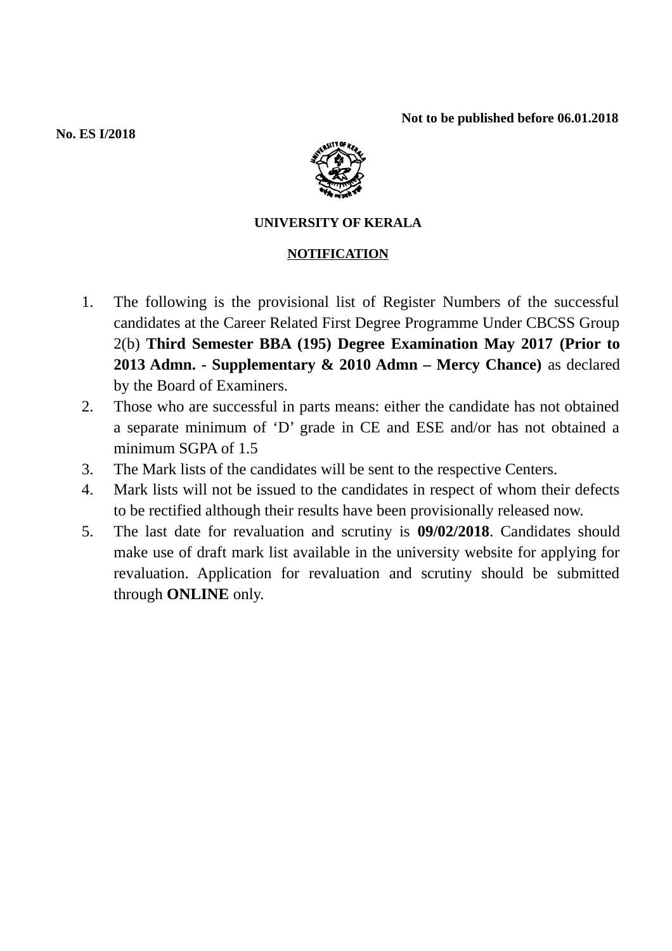**Not to be published before 06.01.2018**

**No. ES I/2018**



## **UNIVERSITY OF KERALA**

## **NOTIFICATION**

- 1. The following is the provisional list of Register Numbers of the successful candidates at the Career Related First Degree Programme Under CBCSS Group 2(b) **Third Semester BBA (195) Degree Examination May 2017 (Prior to 2013 Admn. - Supplementary & 2010 Admn – Mercy Chance)** as declared by the Board of Examiners.
- 2. Those who are successful in parts means: either the candidate has not obtained a separate minimum of 'D' grade in CE and ESE and/or has not obtained a minimum SGPA of 1.5
- 3. The Mark lists of the candidates will be sent to the respective Centers.
- 4. Mark lists will not be issued to the candidates in respect of whom their defects to be rectified although their results have been provisionally released now.
- 5. The last date for revaluation and scrutiny is **09/02/2018**. Candidates should make use of draft mark list available in the university website for applying for revaluation. Application for revaluation and scrutiny should be submitted through **ONLINE** only.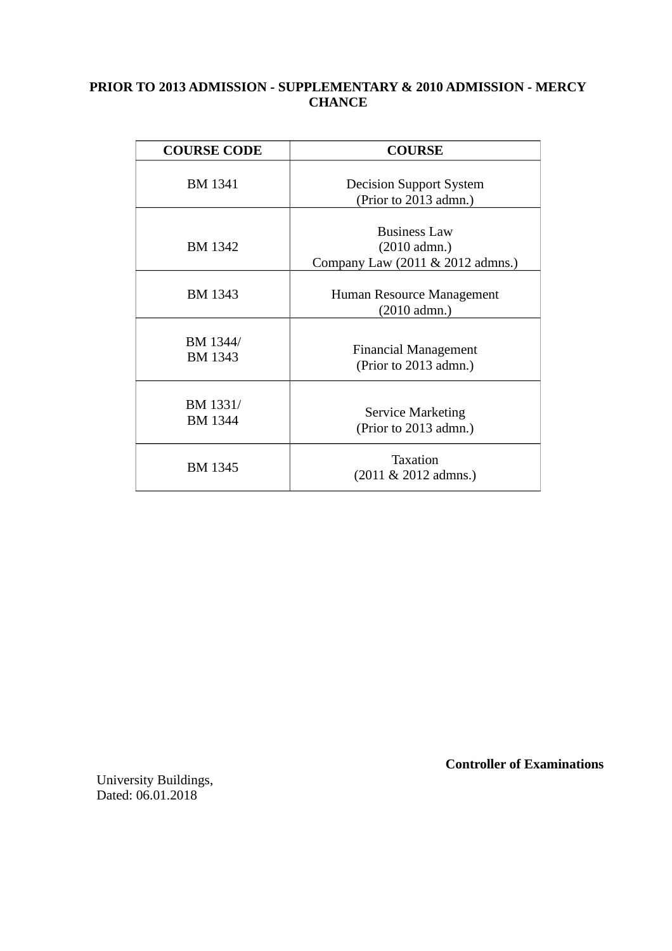## **PRIOR TO 2013 ADMISSION - SUPPLEMENTARY & 2010 ADMISSION - MERCY CHANCE**

| <b>COURSE CODE</b>         | <b>COURSE</b>                                                             |  |  |
|----------------------------|---------------------------------------------------------------------------|--|--|
| <b>BM 1341</b>             | <b>Decision Support System</b><br>(Prior to 2013 admn.)                   |  |  |
| BM 1342                    | <b>Business Law</b><br>$(2010$ admn.)<br>Company Law (2011 & 2012 admns.) |  |  |
| <b>BM 1343</b>             | Human Resource Management<br>(2010 admn.)                                 |  |  |
| BM 1344/<br><b>BM 1343</b> | <b>Financial Management</b><br>(Prior to 2013 admn.)                      |  |  |
| BM 1331/<br><b>BM 1344</b> | <b>Service Marketing</b><br>(Prior to 2013 admn.)                         |  |  |
| <b>BM 1345</b>             | <b>Taxation</b><br>$(2011 \& 2012$ admns.)                                |  |  |

University Buildings, Dated: 06.01.2018

 **Controller of Examinations**